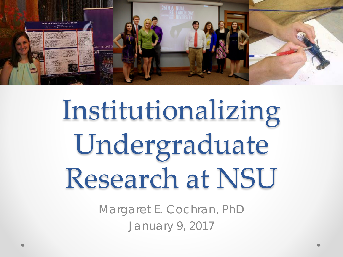

# Institutionalizing Undergraduate Research at NSU

Margaret E. Cochran, PhD January 9, 2017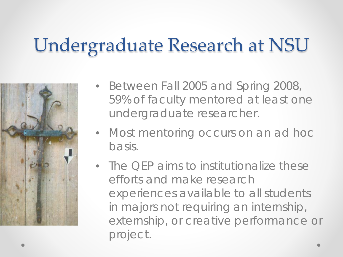### Undergraduate Research at NSU



- Between Fall 2005 and Spring 2008, 59% of faculty mentored at least one undergraduate researcher.
- Most mentoring occurs on an *ad hoc* basis.
- The QEP aims to institutionalize these efforts and make research experiences available to all students in majors not requiring an internship, externship, or creative performance or project.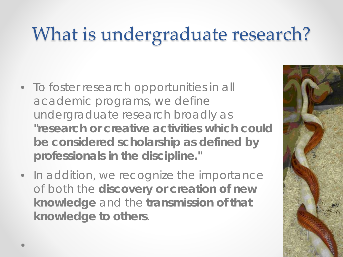# What is undergraduate research?

- To foster research opportunities in all academic programs, we define undergraduate research broadly as **"research or creative activities which could be considered scholarship as defined by professionals in the discipline."**
- In addition, we recognize the importance of both the **discovery or creation of new knowledge** and the **transmission of that knowledge to others**.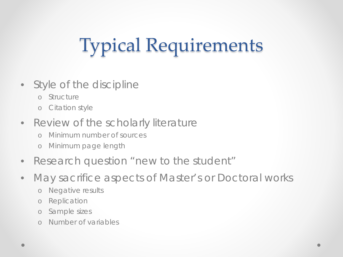# Typical Requirements

- Style of the discipline
	- o Structure
	- o Citation style
- Review of the scholarly literature
	- o Minimum number of sources
	- o Minimum page length
- Research question "new to the student"
- May sacrifice aspects of Master's or Doctoral works
	- o Negative results
	- o Replication
	- o Sample sizes
	- o Number of variables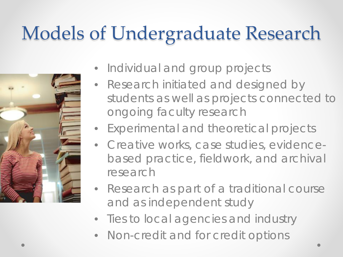### Models of Undergraduate Research



- Individual and group projects
- Research initiated and designed by students as well as projects connected to ongoing faculty research
- Experimental and theoretical projects
- Creative works, case studies, evidencebased practice, fieldwork, and archival research
- Research as part of a traditional course and as independent study
- Ties to local agencies and industry
- Non-credit and for credit options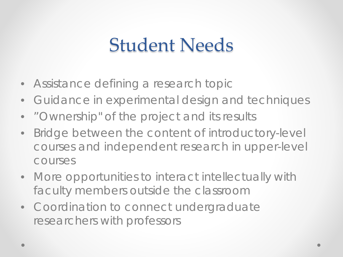#### Student Needs

- Assistance defining a research topic
- Guidance in experimental design and techniques
- "Ownership" of the project and its results
- Bridge between the content of introductory-level courses and independent research in upper-level courses
- More opportunities to interact intellectually with faculty members outside the classroom
- Coordination to connect undergraduate researchers with professors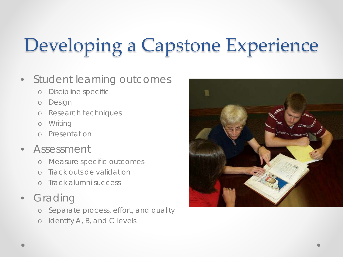# Developing a Capstone Experience

#### • Student learning outcomes

- o Discipline specific
- o Design
- o Research techniques
- o Writing
- o Presentation
- Assessment
	- o Measure specific outcomes
	- o Track outside validation
	- o Track alumni success
- Grading
	- o Separate process, effort, and quality
	- o Identify A, B, and C levels

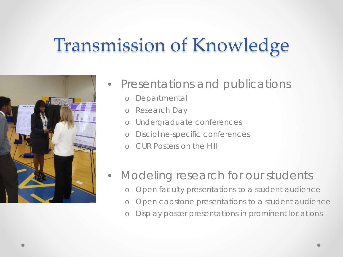#### Transmission of Knowledge



- Presentations and publications
	- o Departmental
	- o Research Day
	- o Undergraduate conferences
	- o Discipline-specific conferences
	- o CUR Posters on the Hill
- Modeling research for our students
	- o Open faculty presentations to a student audience
	- o Open capstone presentations to a student audience
	- o Display poster presentations in prominent locations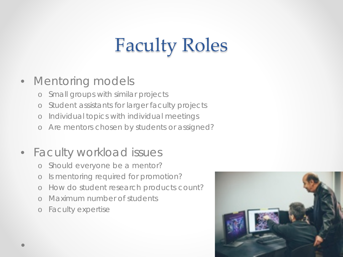# Faculty Roles

#### • Mentoring models

- o Small groups with similar projects
- o Student assistants for larger faculty projects
- o Individual topics with individual meetings
- o Are mentors chosen by students or assigned?

#### • Faculty workload issues

- o Should everyone be a mentor?
- o Is mentoring required for promotion?
- o How do student research products count?
- o Maximum number of students
- o Faculty expertise

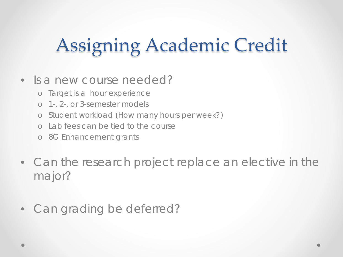## Assigning Academic Credit

#### • Is a new course needed?

- o Target is a hour experience
- o 1-, 2-, or 3-semester models
- o Student workload (How many hours per week?)
- o Lab fees can be tied to the course
- o 8G Enhancement grants
- Can the research project replace an elective in the major?
- Can grading be deferred?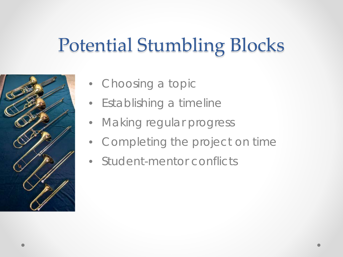### Potential Stumbling Blocks



- Choosing a topic
- Establishing a timeline
- Making regular progress
- Completing the project on time
- Student-mentor conflicts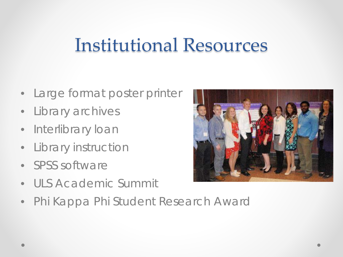#### Institutional Resources

- Large format poster printer
- Library archives
- Interlibrary loan
- Library instruction
- SPSS software
- ULS Academic Summit
- Phi Kappa Phi Student Research Award

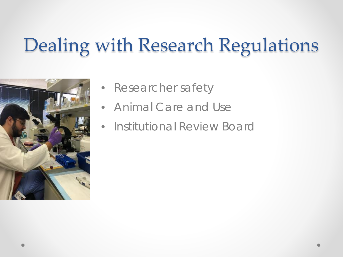### Dealing with Research Regulations



- Researcher safety
- Animal Care and Use
- Institutional Review Board